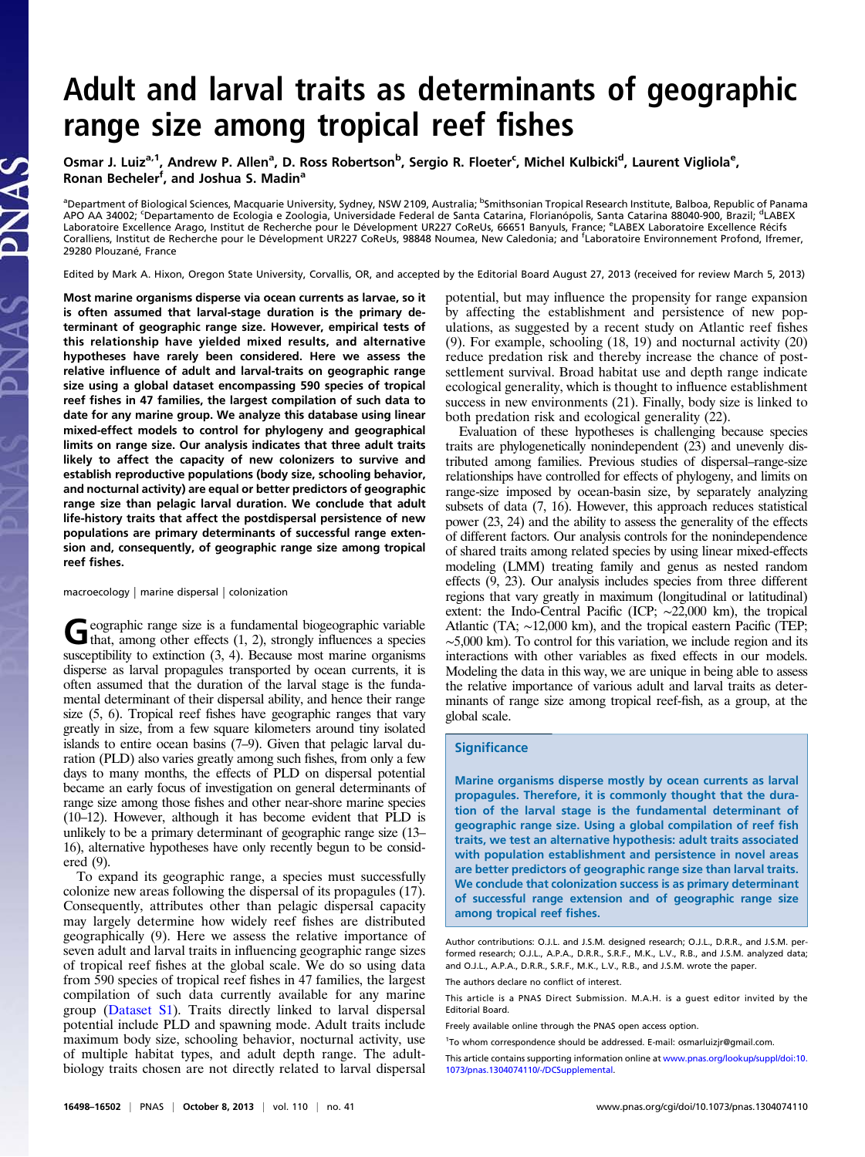# Adult and larval traits as determinants of geographic range size among tropical reef fishes

Osmar J. Luiz<sup>a,1</sup>, Andrew P. Allen<sup>a</sup>, D. Ross Robertson<sup>b</sup>, Sergio R. Floeter<sup>c</sup>, Michel Kulbicki<sup>d</sup>, Laurent Vigliola<sup>e</sup>, Ronan Becheler<sup>f</sup>, and Joshua S. Madin<sup>a</sup>

<sup>a</sup>Department of Biological Sciences, Macquarie University, Sydney, NSW 2109, Australia; <sup>b</sup>Smithsonian Tropical Research Institute, Balboa, Republic of Panama APO AA 34002; <sup>c</sup>Departamento de Ecologia e Zoologia, Universidade Federal de Santa Catarina, Florianópolis, Santa Catarina 88040-900, Brazil; <sup>d</sup>LABEX Laboratoire Excellence Arago, Institut de Recherche pour le Dévelopment UR227 CoReUs, 66651 Banyuls, France; <sup>e</sup>LABEX Laboratoire Excellence Récifs Coralliens, Institut de Recherche pour le Dévelopment UR227 CoReUs, 98848 Noumea, New Caledonia; and <sup>f</sup>Laboratoire Environnement Profond, Ifremer, 29280 Plouzané, France

Edited by Mark A. Hixon, Oregon State University, Corvallis, OR, and accepted by the Editorial Board August 27, 2013 (received for review March 5, 2013)

Most marine organisms disperse via ocean currents as larvae, so it is often assumed that larval-stage duration is the primary determinant of geographic range size. However, empirical tests of this relationship have yielded mixed results, and alternative hypotheses have rarely been considered. Here we assess the relative influence of adult and larval-traits on geographic range size using a global dataset encompassing 590 species of tropical reef fishes in 47 families, the largest compilation of such data to date for any marine group. We analyze this database using linear mixed-effect models to control for phylogeny and geographical limits on range size. Our analysis indicates that three adult traits likely to affect the capacity of new colonizers to survive and establish reproductive populations (body size, schooling behavior, and nocturnal activity) are equal or better predictors of geographic range size than pelagic larval duration. We conclude that adult life-history traits that affect the postdispersal persistence of new populations are primary determinants of successful range extension and, consequently, of geographic range size among tropical reef fishes.

macroecology | marine dispersal | colonization

Geographic range size is a fundamental biogeographic variable<br>that, among other effects (1, 2), strongly influences a species susceptibility to extinction  $(3, 4)$ . Because most marine organisms disperse as larval propagules transported by ocean currents, it is often assumed that the duration of the larval stage is the fundamental determinant of their dispersal ability, and hence their range size (5, 6). Tropical reef fishes have geographic ranges that vary greatly in size, from a few square kilometers around tiny isolated islands to entire ocean basins (7–9). Given that pelagic larval duration (PLD) also varies greatly among such fishes, from only a few days to many months, the effects of PLD on dispersal potential became an early focus of investigation on general determinants of range size among those fishes and other near-shore marine species (10–12). However, although it has become evident that PLD is unlikely to be a primary determinant of geographic range size (13– 16), alternative hypotheses have only recently begun to be considered (9).

To expand its geographic range, a species must successfully colonize new areas following the dispersal of its propagules (17). Consequently, attributes other than pelagic dispersal capacity may largely determine how widely reef fishes are distributed geographically (9). Here we assess the relative importance of seven adult and larval traits in influencing geographic range sizes of tropical reef fishes at the global scale. We do so using data from 590 species of tropical reef fishes in 47 families, the largest compilation of such data currently available for any marine group [\(Dataset S1\)](http://www.pnas.org/lookup/suppl/doi:10.1073/pnas.1304074110/-/DCSupplemental/sd01.pdf). Traits directly linked to larval dispersal potential include PLD and spawning mode. Adult traits include maximum body size, schooling behavior, nocturnal activity, use of multiple habitat types, and adult depth range. The adultbiology traits chosen are not directly related to larval dispersal

potential, but may influence the propensity for range expansion by affecting the establishment and persistence of new populations, as suggested by a recent study on Atlantic reef fishes (9). For example, schooling (18, 19) and nocturnal activity (20) reduce predation risk and thereby increase the chance of postsettlement survival. Broad habitat use and depth range indicate ecological generality, which is thought to influence establishment success in new environments (21). Finally, body size is linked to both predation risk and ecological generality (22).

Evaluation of these hypotheses is challenging because species traits are phylogenetically nonindependent (23) and unevenly distributed among families. Previous studies of dispersal–range-size relationships have controlled for effects of phylogeny, and limits on range-size imposed by ocean-basin size, by separately analyzing subsets of data (7, 16). However, this approach reduces statistical power (23, 24) and the ability to assess the generality of the effects of different factors. Our analysis controls for the nonindependence of shared traits among related species by using linear mixed-effects modeling (LMM) treating family and genus as nested random effects (9, 23). Our analysis includes species from three different regions that vary greatly in maximum (longitudinal or latitudinal) extent: the Indo-Central Pacific (ICP; ∼22,000 km), the tropical Atlantic (TA; ∼12,000 km), and the tropical eastern Pacific (TEP; ∼5,000 km). To control for this variation, we include region and its interactions with other variables as fixed effects in our models. Modeling the data in this way, we are unique in being able to assess the relative importance of various adult and larval traits as determinants of range size among tropical reef-fish, as a group, at the global scale.

## **Significance**

Marine organisms disperse mostly by ocean currents as larval propagules. Therefore, it is commonly thought that the duration of the larval stage is the fundamental determinant of geographic range size. Using a global compilation of reef fish traits, we test an alternative hypothesis: adult traits associated with population establishment and persistence in novel areas are better predictors of geographic range size than larval traits. We conclude that colonization success is as primary determinant of successful range extension and of geographic range size among tropical reef fishes.

Author contributions: O.J.L. and J.S.M. designed research; O.J.L., D.R.R., and J.S.M. performed research; O.J.L., A.P.A., D.R.R., S.R.F., M.K., L.V., R.B., and J.S.M. analyzed data; and O.J.L., A.P.A., D.R.R., S.R.F., M.K., L.V., R.B., and J.S.M. wrote the paper.

The authors declare no conflict of interest.

This article is a PNAS Direct Submission. M.A.H. is a guest editor invited by the Editorial Board.

Freely available online through the PNAS open access option.

<sup>1</sup>To whom correspondence should be addressed. E-mail: [osmarluizjr@gmail.com](mailto:osmarluizjr@gmail.com).

This article contains supporting information online at [www.pnas.org/lookup/suppl/doi:10.](http://www.pnas.org/lookup/suppl/doi:10.1073/pnas.1304074110/-/DCSupplemental) [1073/pnas.1304074110/-/DCSupplemental.](http://www.pnas.org/lookup/suppl/doi:10.1073/pnas.1304074110/-/DCSupplemental)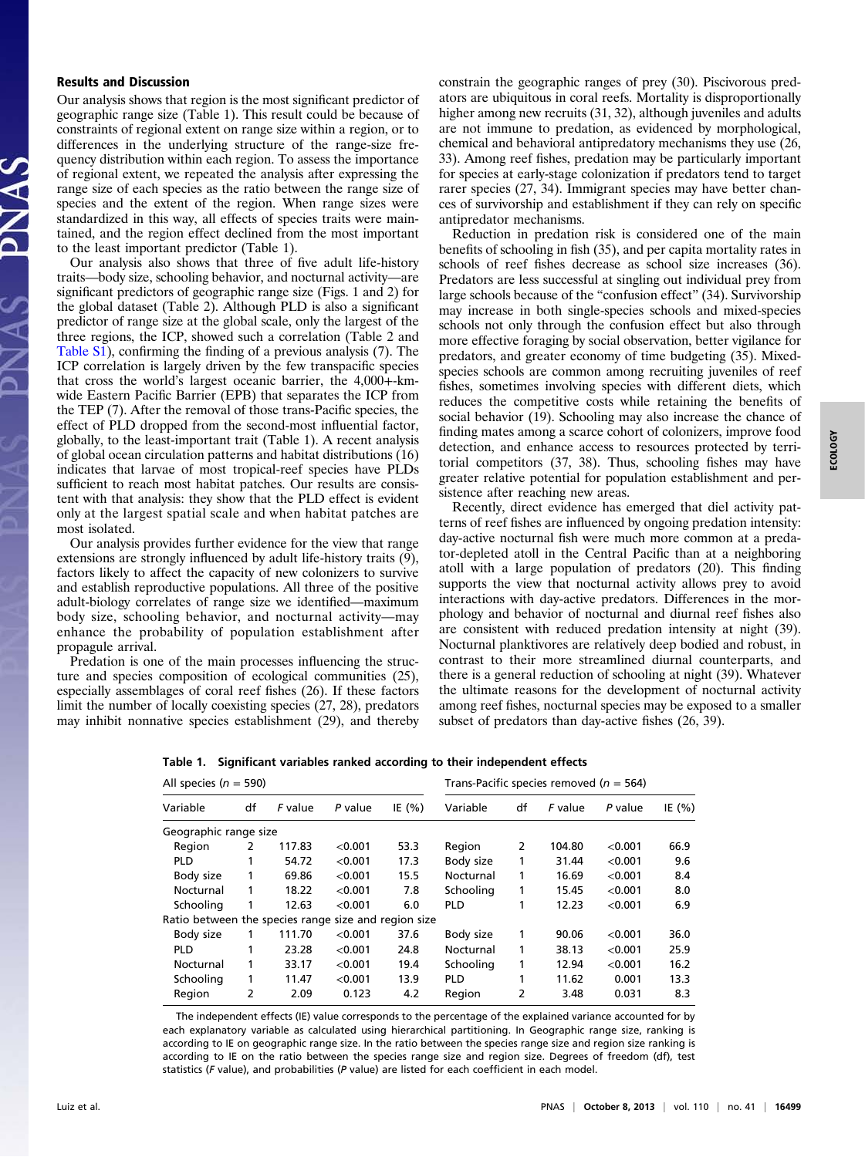## Results and Discussion

Our analysis shows that region is the most significant predictor of geographic range size (Table 1). This result could be because of constraints of regional extent on range size within a region, or to differences in the underlying structure of the range-size frequency distribution within each region. To assess the importance of regional extent, we repeated the analysis after expressing the range size of each species as the ratio between the range size of species and the extent of the region. When range sizes were standardized in this way, all effects of species traits were maintained, and the region effect declined from the most important to the least important predictor (Table 1).

Our analysis also shows that three of five adult life-history traits—body size, schooling behavior, and nocturnal activity—are significant predictors of geographic range size (Figs. 1 and 2) for the global dataset (Table 2). Although PLD is also a significant predictor of range size at the global scale, only the largest of the three regions, the ICP, showed such a correlation (Table 2 and [Table S1](http://www.pnas.org/lookup/suppl/doi:10.1073/pnas.1304074110/-/DCSupplemental/pnas.201304074SI.pdf?targetid=nameddest=ST1)), confirming the finding of a previous analysis (7). The ICP correlation is largely driven by the few transpacific species that cross the world's largest oceanic barrier, the 4,000+-kmwide Eastern Pacific Barrier (EPB) that separates the ICP from the TEP (7). After the removal of those trans-Pacific species, the effect of PLD dropped from the second-most influential factor, globally, to the least-important trait (Table 1). A recent analysis of global ocean circulation patterns and habitat distributions (16) indicates that larvae of most tropical-reef species have PLDs sufficient to reach most habitat patches. Our results are consistent with that analysis: they show that the PLD effect is evident only at the largest spatial scale and when habitat patches are most isolated.

Our analysis provides further evidence for the view that range extensions are strongly influenced by adult life-history traits (9), factors likely to affect the capacity of new colonizers to survive and establish reproductive populations. All three of the positive adult-biology correlates of range size we identified—maximum body size, schooling behavior, and nocturnal activity—may enhance the probability of population establishment after propagule arrival.

Predation is one of the main processes influencing the structure and species composition of ecological communities (25), especially assemblages of coral reef fishes (26). If these factors limit the number of locally coexisting species (27, 28), predators may inhibit nonnative species establishment (29), and thereby constrain the geographic ranges of prey (30). Piscivorous predators are ubiquitous in coral reefs. Mortality is disproportionally higher among new recruits (31, 32), although juveniles and adults are not immune to predation, as evidenced by morphological, chemical and behavioral antipredatory mechanisms they use (26, 33). Among reef fishes, predation may be particularly important for species at early-stage colonization if predators tend to target rarer species (27, 34). Immigrant species may have better chances of survivorship and establishment if they can rely on specific antipredator mechanisms.

Reduction in predation risk is considered one of the main benefits of schooling in fish (35), and per capita mortality rates in schools of reef fishes decrease as school size increases (36). Predators are less successful at singling out individual prey from large schools because of the "confusion effect" (34). Survivorship may increase in both single-species schools and mixed-species schools not only through the confusion effect but also through more effective foraging by social observation, better vigilance for predators, and greater economy of time budgeting (35). Mixedspecies schools are common among recruiting juveniles of reef fishes, sometimes involving species with different diets, which reduces the competitive costs while retaining the benefits of social behavior (19). Schooling may also increase the chance of finding mates among a scarce cohort of colonizers, improve food detection, and enhance access to resources protected by territorial competitors (37, 38). Thus, schooling fishes may have greater relative potential for population establishment and persistence after reaching new areas.

Recently, direct evidence has emerged that diel activity patterns of reef fishes are influenced by ongoing predation intensity: day-active nocturnal fish were much more common at a predator-depleted atoll in the Central Pacific than at a neighboring atoll with a large population of predators (20). This finding supports the view that nocturnal activity allows prey to avoid interactions with day-active predators. Differences in the morphology and behavior of nocturnal and diurnal reef fishes also are consistent with reduced predation intensity at night (39). Nocturnal planktivores are relatively deep bodied and robust, in contrast to their more streamlined diurnal counterparts, and there is a general reduction of schooling at night (39). Whatever the ultimate reasons for the development of nocturnal activity among reef fishes, nocturnal species may be exposed to a smaller subset of predators than day-active fishes (26, 39).

|  |  |  |  |  |  |  | Table 1. Significant variables ranked according to their independent effects |  |
|--|--|--|--|--|--|--|------------------------------------------------------------------------------|--|
|--|--|--|--|--|--|--|------------------------------------------------------------------------------|--|

| All species ( $n = 590$ )                            |    |         |         |        | Trans-Pacific species removed ( $n = 564$ ) |    |         |         |            |  |
|------------------------------------------------------|----|---------|---------|--------|---------------------------------------------|----|---------|---------|------------|--|
| Variable                                             | df | F value | P value | IE (%) | Variable                                    | df | F value | P value | IE $(\% )$ |  |
| Geographic range size                                |    |         |         |        |                                             |    |         |         |            |  |
| Region                                               | 2  | 117.83  | < 0.001 | 53.3   | Region                                      | 2  | 104.80  | < 0.001 | 66.9       |  |
| <b>PLD</b>                                           |    | 54.72   | < 0.001 | 17.3   | Body size                                   | 1  | 31.44   | < 0.001 | 9.6        |  |
| Body size                                            | 1  | 69.86   | < 0.001 | 15.5   | Nocturnal                                   | 1  | 16.69   | < 0.001 | 8.4        |  |
| Nocturnal                                            | 1  | 18.22   | < 0.001 | 7.8    | Schooling                                   | 1  | 15.45   | < 0.001 | 8.0        |  |
| Schooling                                            | 1  | 12.63   | < 0.001 | 6.0    | <b>PLD</b>                                  | 1  | 12.23   | < 0.001 | 6.9        |  |
| Ratio between the species range size and region size |    |         |         |        |                                             |    |         |         |            |  |
| Body size                                            |    | 111.70  | < 0.001 | 37.6   | Body size                                   | 1  | 90.06   | < 0.001 | 36.0       |  |
| <b>PLD</b>                                           | 1  | 23.28   | < 0.001 | 24.8   | Nocturnal                                   | 1  | 38.13   | < 0.001 | 25.9       |  |
| Nocturnal                                            | 1  | 33.17   | < 0.001 | 19.4   | Schooling                                   | 1  | 12.94   | < 0.001 | 16.2       |  |
| Schooling                                            | 1  | 11.47   | < 0.001 | 13.9   | <b>PLD</b>                                  | 1  | 11.62   | 0.001   | 13.3       |  |
| Region                                               | 2  | 2.09    | 0.123   | 4.2    | Region                                      | 2  | 3.48    | 0.031   | 8.3        |  |

The independent effects (IE) value corresponds to the percentage of the explained variance accounted for by each explanatory variable as calculated using hierarchical partitioning. In Geographic range size, ranking is according to IE on geographic range size. In the ratio between the species range size and region size ranking is according to IE on the ratio between the species range size and region size. Degrees of freedom (df), test statistics (F value), and probabilities (P value) are listed for each coefficient in each model.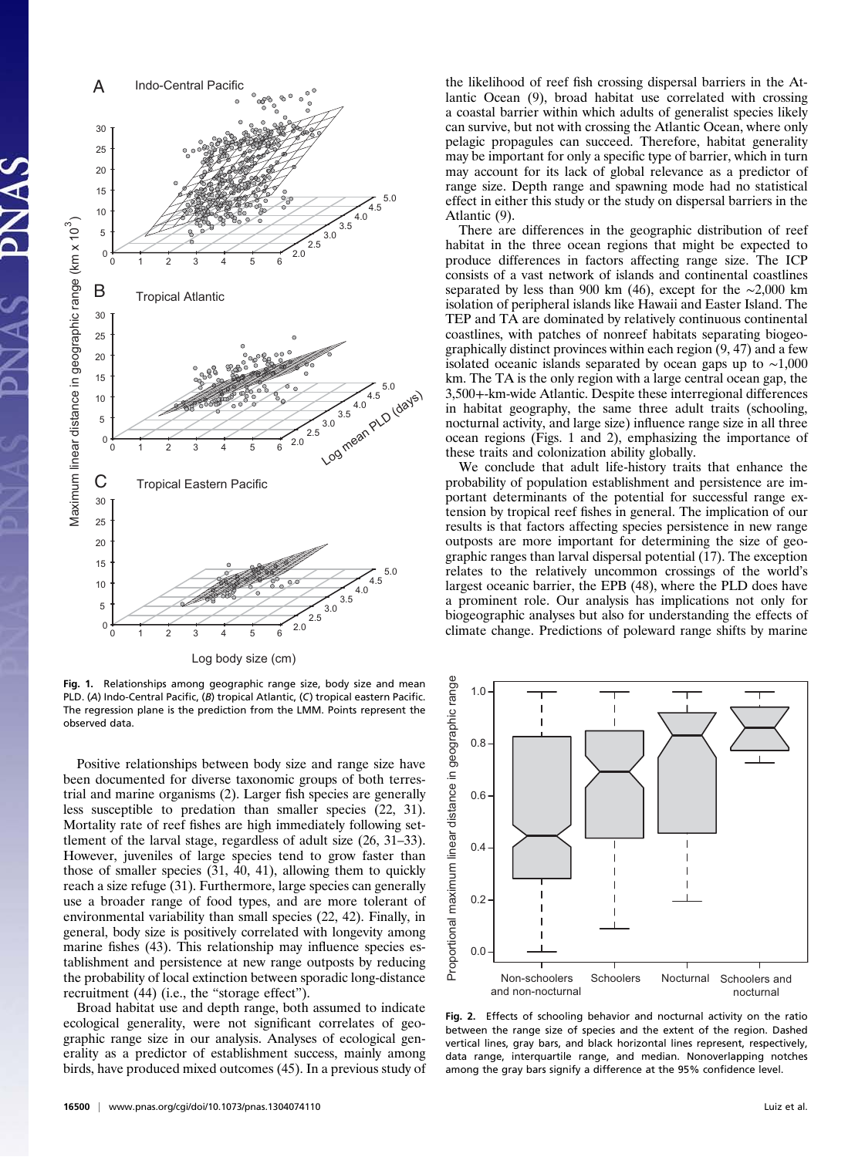

Fig. 1. Relationships among geographic range size, body size and mean PLD. (A) Indo-Central Pacific, (B) tropical Atlantic, (C) tropical eastern Pacific. The regression plane is the prediction from the LMM. Points represent the observed data.

Positive relationships between body size and range size have been documented for diverse taxonomic groups of both terrestrial and marine organisms (2). Larger fish species are generally less susceptible to predation than smaller species (22, 31). Mortality rate of reef fishes are high immediately following settlement of the larval stage, regardless of adult size (26, 31–33). However, juveniles of large species tend to grow faster than those of smaller species (31, 40, 41), allowing them to quickly reach a size refuge (31). Furthermore, large species can generally use a broader range of food types, and are more tolerant of environmental variability than small species (22, 42). Finally, in general, body size is positively correlated with longevity among marine fishes (43). This relationship may influence species establishment and persistence at new range outposts by reducing the probability of local extinction between sporadic long-distance recruitment (44) (i.e., the "storage effect").

Broad habitat use and depth range, both assumed to indicate ecological generality, were not significant correlates of geographic range size in our analysis. Analyses of ecological generality as a predictor of establishment success, mainly among birds, have produced mixed outcomes (45). In a previous study of the likelihood of reef fish crossing dispersal barriers in the Atlantic Ocean (9), broad habitat use correlated with crossing a coastal barrier within which adults of generalist species likely can survive, but not with crossing the Atlantic Ocean, where only pelagic propagules can succeed. Therefore, habitat generality may be important for only a specific type of barrier, which in turn may account for its lack of global relevance as a predictor of range size. Depth range and spawning mode had no statistical effect in either this study or the study on dispersal barriers in the Atlantic (9).

There are differences in the geographic distribution of reef habitat in the three ocean regions that might be expected to produce differences in factors affecting range size. The ICP consists of a vast network of islands and continental coastlines separated by less than 900 km (46), except for the ∼2,000 km isolation of peripheral islands like Hawaii and Easter Island. The TEP and TA are dominated by relatively continuous continental coastlines, with patches of nonreef habitats separating biogeographically distinct provinces within each region (9, 47) and a few isolated oceanic islands separated by ocean gaps up to ∼1,000 km. The TA is the only region with a large central ocean gap, the 3,500+-km-wide Atlantic. Despite these interregional differences in habitat geography, the same three adult traits (schooling, nocturnal activity, and large size) influence range size in all three ocean regions (Figs. 1 and 2), emphasizing the importance of these traits and colonization ability globally.

We conclude that adult life-history traits that enhance the probability of population establishment and persistence are important determinants of the potential for successful range extension by tropical reef fishes in general. The implication of our results is that factors affecting species persistence in new range outposts are more important for determining the size of geographic ranges than larval dispersal potential  $(17)$ . The exception relates to the relatively uncommon crossings of the world's largest oceanic barrier, the EPB (48), where the PLD does have a prominent role. Our analysis has implications not only for biogeographic analyses but also for understanding the effects of climate change. Predictions of poleward range shifts by marine



Fig. 2. Effects of schooling behavior and nocturnal activity on the ratio between the range size of species and the extent of the region. Dashed vertical lines, gray bars, and black horizontal lines represent, respectively, data range, interquartile range, and median. Nonoverlapping notches among the gray bars signify a difference at the 95% confidence level.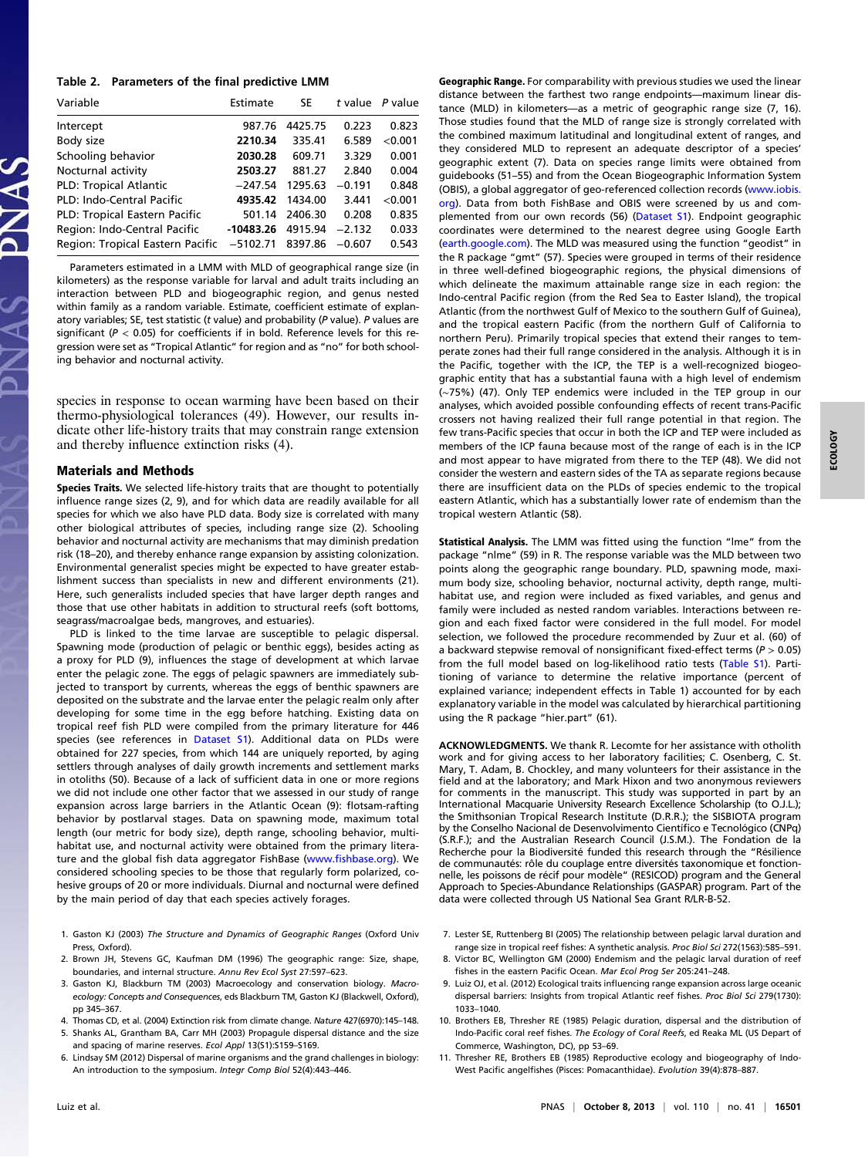### Table 2. Parameters of the final predictive LMM

| Variable                         | Estimate    | SE      | t value  | P value |
|----------------------------------|-------------|---------|----------|---------|
| Intercept                        | 987.76      | 4425.75 | 0.223    | 0.823   |
| Body size                        | 2210.34     | 335.41  | 6.589    | < 0.001 |
| Schooling behavior               | 2030.28     | 609.71  | 3.329    | 0.001   |
| Nocturnal activity               | 2503.27     | 881.27  | 2.840    | 0.004   |
| PLD: Tropical Atlantic           | $-247.54$   | 1295.63 | $-0.191$ | 0.848   |
| PLD: Indo-Central Pacific        | 4935.42     | 1434.00 | 3.441    | < 0.001 |
| PLD: Tropical Eastern Pacific    | 501.14      | 2406.30 | 0.208    | 0.835   |
| Region: Indo-Central Pacific     | $-10483.26$ | 4915.94 | $-2.132$ | 0.033   |
| Region: Tropical Eastern Pacific | $-5102.71$  | 8397.86 | $-0.607$ | 0.543   |

Parameters estimated in a LMM with MLD of geographical range size (in kilometers) as the response variable for larval and adult traits including an interaction between PLD and biogeographic region, and genus nested within family as a random variable. Estimate, coefficient estimate of explanatory variables; SE, test statistic (t value) and probability (P value). P values are significant ( $P < 0.05$ ) for coefficients if in bold. Reference levels for this regression were set as "Tropical Atlantic" for region and as "no" for both schooling behavior and nocturnal activity.

species in response to ocean warming have been based on their thermo-physiological tolerances (49). However, our results indicate other life-history traits that may constrain range extension and thereby influence extinction risks (4).

### Materials and Methods

Species Traits. We selected life-history traits that are thought to potentially influence range sizes (2, 9), and for which data are readily available for all species for which we also have PLD data. Body size is correlated with many other biological attributes of species, including range size (2). Schooling behavior and nocturnal activity are mechanisms that may diminish predation risk (18–20), and thereby enhance range expansion by assisting colonization. Environmental generalist species might be expected to have greater establishment success than specialists in new and different environments (21). Here, such generalists included species that have larger depth ranges and those that use other habitats in addition to structural reefs (soft bottoms, seagrass/macroalgae beds, mangroves, and estuaries).

PLD is linked to the time larvae are susceptible to pelagic dispersal. Spawning mode (production of pelagic or benthic eggs), besides acting as a proxy for PLD (9), influences the stage of development at which larvae enter the pelagic zone. The eggs of pelagic spawners are immediately subjected to transport by currents, whereas the eggs of benthic spawners are deposited on the substrate and the larvae enter the pelagic realm only after developing for some time in the egg before hatching. Existing data on tropical reef fish PLD were compiled from the primary literature for 446 species (see references in [Dataset S1\)](http://www.pnas.org/lookup/suppl/doi:10.1073/pnas.1304074110/-/DCSupplemental/sd01.pdf). Additional data on PLDs were obtained for 227 species, from which 144 are uniquely reported, by aging settlers through analyses of daily growth increments and settlement marks in otoliths (50). Because of a lack of sufficient data in one or more regions we did not include one other factor that we assessed in our study of range expansion across large barriers in the Atlantic Ocean (9): flotsam-rafting behavior by postlarval stages. Data on spawning mode, maximum total length (our metric for body size), depth range, schooling behavior, multihabitat use, and nocturnal activity were obtained from the primary literature and the global fish data aggregator FishBase (www.fi[shbase.org\)](http://www.fishbase.org). We considered schooling species to be those that regularly form polarized, cohesive groups of 20 or more individuals. Diurnal and nocturnal were defined by the main period of day that each species actively forages.

- 1. Gaston KJ (2003) The Structure and Dynamics of Geographic Ranges (Oxford Univ Press, Oxford).
- 2. Brown JH, Stevens GC, Kaufman DM (1996) The geographic range: Size, shape, boundaries, and internal structure. Annu Rev Ecol Syst 27:597–623.
- 3. Gaston KJ, Blackburn TM (2003) Macroecology and conservation biology. Macroecology: Concepts and Consequences, eds Blackburn TM, Gaston KJ (Blackwell, Oxford), pp 345–367.
- 4. Thomas CD, et al. (2004) Extinction risk from climate change. Nature 427(6970):145–148. 5. Shanks AL, Grantham BA, Carr MH (2003) Propagule dispersal distance and the size

and spacing of marine reserves. Ecol Appl 13(S1):S159–S169. 6. Lindsay SM (2012) Dispersal of marine organisms and the grand challenges in biology:

An introduction to the symposium. Integr Comp Biol 52(4):443–446.

Geographic Range. For comparability with previous studies we used the linear distance between the farthest two range endpoints—maximum linear distance (MLD) in kilometers—as a metric of geographic range size (7, 16). Those studies found that the MLD of range size is strongly correlated with the combined maximum latitudinal and longitudinal extent of ranges, and they considered MLD to represent an adequate descriptor of a species' geographic extent (7). Data on species range limits were obtained from guidebooks (51–55) and from the Ocean Biogeographic Information System (OBIS), a global aggregator of geo-referenced collection records [\(www.iobis.](http://www.iobis.org) [org](http://www.iobis.org)). Data from both FishBase and OBIS were screened by us and complemented from our own records (56) [\(Dataset S1](http://www.pnas.org/lookup/suppl/doi:10.1073/pnas.1304074110/-/DCSupplemental/sd01.pdf)). Endpoint geographic coordinates were determined to the nearest degree using Google Earth [\(earth.google.com](http://earth.google.com)). The MLD was measured using the function "geodist" in the R package "gmt" (57). Species were grouped in terms of their residence in three well-defined biogeographic regions, the physical dimensions of which delineate the maximum attainable range size in each region: the Indo-central Pacific region (from the Red Sea to Easter Island), the tropical Atlantic (from the northwest Gulf of Mexico to the southern Gulf of Guinea), and the tropical eastern Pacific (from the northern Gulf of California to northern Peru). Primarily tropical species that extend their ranges to temperate zones had their full range considered in the analysis. Although it is in the Pacific, together with the ICP, the TEP is a well-recognized biogeographic entity that has a substantial fauna with a high level of endemism (∼75%) (47). Only TEP endemics were included in the TEP group in our analyses, which avoided possible confounding effects of recent trans-Pacific crossers not having realized their full range potential in that region. The few trans-Pacific species that occur in both the ICP and TEP were included as members of the ICP fauna because most of the range of each is in the ICP and most appear to have migrated from there to the TEP (48). We did not consider the western and eastern sides of the TA as separate regions because there are insufficient data on the PLDs of species endemic to the tropical eastern Atlantic, which has a substantially lower rate of endemism than the tropical western Atlantic (58).

Statistical Analysis. The LMM was fitted using the function "lme" from the package "nlme" (59) in R. The response variable was the MLD between two points along the geographic range boundary. PLD, spawning mode, maximum body size, schooling behavior, nocturnal activity, depth range, multihabitat use, and region were included as fixed variables, and genus and family were included as nested random variables. Interactions between region and each fixed factor were considered in the full model. For model selection, we followed the procedure recommended by Zuur et al. (60) of a backward stepwise removal of nonsignificant fixed-effect terms ( $P > 0.05$ ) from the full model based on log-likelihood ratio tests ([Table S1](http://www.pnas.org/lookup/suppl/doi:10.1073/pnas.1304074110/-/DCSupplemental/pnas.201304074SI.pdf?targetid=nameddest=ST1)). Partitioning of variance to determine the relative importance (percent of explained variance; independent effects in Table 1) accounted for by each explanatory variable in the model was calculated by hierarchical partitioning using the R package "hier.part" (61).

ACKNOWLEDGMENTS. We thank R. Lecomte for her assistance with otholith work and for giving access to her laboratory facilities; C. Osenberg, C. St. Mary, T. Adam, B. Chockley, and many volunteers for their assistance in the field and at the laboratory; and Mark Hixon and two anonymous reviewers for comments in the manuscript. This study was supported in part by an International Macquarie University Research Excellence Scholarship (to O.J.L.); the Smithsonian Tropical Research Institute (D.R.R.); the SISBIOTA program by the Conselho Nacional de Desenvolvimento Científico e Tecnológico (CNPq) (S.R.F.); and the Australian Research Council (J.S.M.). The Fondation de la Recherche pour la Biodiversité funded this research through the "Résilience de communautés: rôle du couplage entre diversités taxonomique et fonctionnelle, les poissons de récif pour modèle" (RESICOD) program and the General Approach to Species-Abundance Relationships (GASPAR) program. Part of the data were collected through US National Sea Grant R/LR-B-52.

- 7. Lester SE, Ruttenberg BI (2005) The relationship between pelagic larval duration and range size in tropical reef fishes: A synthetic analysis. Proc Biol Sci 272(1563):585–591.
- 8. Victor BC, Wellington GM (2000) Endemism and the pelagic larval duration of reef fishes in the eastern Pacific Ocean. Mar Ecol Prog Ser 205:241–248.
- 9. Luiz OJ, et al. (2012) Ecological traits influencing range expansion across large oceanic dispersal barriers: Insights from tropical Atlantic reef fishes. Proc Biol Sci 279(1730): 1033–1040.
- 10. Brothers EB, Thresher RE (1985) Pelagic duration, dispersal and the distribution of Indo-Pacific coral reef fishes. The Ecology of Coral Reefs, ed Reaka ML (US Depart of Commerce, Washington, DC), pp 53–69.
- 11. Thresher RE, Brothers EB (1985) Reproductive ecology and biogeography of Indo-West Pacific angelfishes (Pisces: Pomacanthidae). Evolution 39(4):878–887.